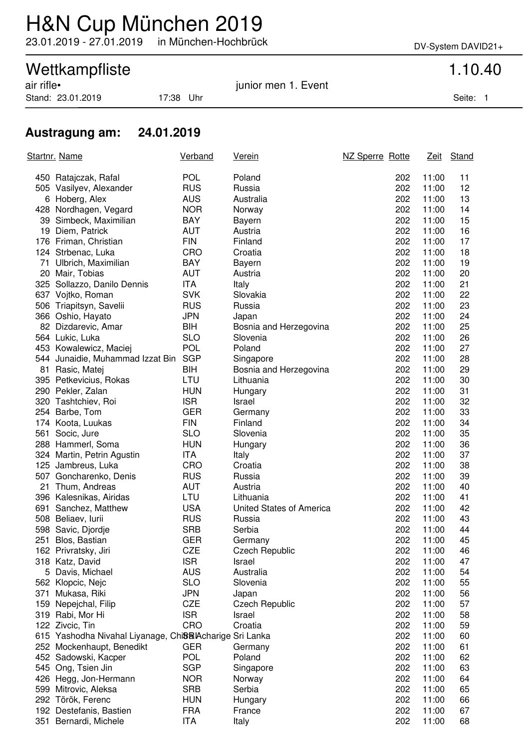## H&N Cup München 2019

23.01.2019 - 27.01.2019 in München-Hochbrück DV-System DAVID21+

# Wettkampfliste<br>
air rifle•<br>
1.10.40<br>
iunior men 1. Event

Stand: 23.01.2019 17:38 Uhr Seite: 1

junior men 1. Event

### **Austragung am: 24.01.2019**

|     | Startnr. Name                                           | <b>Verband</b> | <u>Verein</u>            | NZ Sperre Rotte |     | <u>Zeit</u> | Stand |
|-----|---------------------------------------------------------|----------------|--------------------------|-----------------|-----|-------------|-------|
|     | 450 Ratajczak, Rafal                                    | <b>POL</b>     | Poland                   |                 | 202 | 11:00       | 11    |
|     | 505 Vasilyev, Alexander                                 | <b>RUS</b>     | Russia                   |                 | 202 | 11:00       | 12    |
|     | 6 Hoberg, Alex                                          | <b>AUS</b>     | Australia                |                 | 202 | 11:00       | 13    |
|     | 428 Nordhagen, Vegard                                   | <b>NOR</b>     | Norway                   |                 | 202 | 11:00       | 14    |
|     | 39 Simbeck, Maximilian                                  | <b>BAY</b>     | Bayern                   |                 | 202 | 11:00       | 15    |
|     | 19 Diem, Patrick                                        | <b>AUT</b>     | Austria                  |                 | 202 | 11:00       | 16    |
|     | 176 Friman, Christian                                   | <b>FIN</b>     | Finland                  |                 | 202 | 11:00       | 17    |
|     | 124 Strbenac, Luka                                      | <b>CRO</b>     | Croatia                  |                 | 202 | 11:00       | 18    |
|     | 71 Ulbrich, Maximilian                                  | <b>BAY</b>     | Bayern                   |                 | 202 | 11:00       | 19    |
|     | 20 Mair, Tobias                                         | <b>AUT</b>     | Austria                  |                 | 202 | 11:00       | 20    |
|     | 325 Sollazzo, Danilo Dennis                             | <b>ITA</b>     | Italy                    |                 | 202 | 11:00       | 21    |
|     | 637 Vojtko, Roman                                       | <b>SVK</b>     | Slovakia                 |                 | 202 | 11:00       | 22    |
|     | 506 Triapitsyn, Savelii                                 | <b>RUS</b>     | Russia                   |                 | 202 | 11:00       | 23    |
|     | 366 Oshio, Hayato                                       | <b>JPN</b>     | Japan                    |                 | 202 | 11:00       | 24    |
|     | 82 Dizdarevic, Amar                                     | BIH            | Bosnia and Herzegovina   |                 | 202 | 11:00       | 25    |
|     | 564 Lukic, Luka                                         | <b>SLO</b>     | Slovenia                 |                 | 202 | 11:00       | 26    |
|     | 453 Kowalewicz, Maciej                                  | <b>POL</b>     | Poland                   |                 | 202 | 11:00       | 27    |
|     | 544 Junaidie, Muhammad Izzat Bin                        | <b>SGP</b>     | Singapore                |                 | 202 | 11:00       | 28    |
|     | 81 Rasic, Matej                                         | BIH            | Bosnia and Herzegovina   |                 | 202 | 11:00       | 29    |
|     | 395 Petkevicius, Rokas                                  | LTU            | Lithuania                |                 | 202 | 11:00       | 30    |
|     | 290 Pekler, Zalan                                       | <b>HUN</b>     | Hungary                  |                 | 202 | 11:00       | 31    |
|     | 320 Tashtchiev, Roi                                     | <b>ISR</b>     | Israel                   |                 | 202 | 11:00       | 32    |
|     | 254 Barbe, Tom                                          | <b>GER</b>     | Germany                  |                 | 202 | 11:00       | 33    |
|     | 174 Koota, Luukas                                       | <b>FIN</b>     | Finland                  |                 | 202 | 11:00       | 34    |
|     | 561 Socic, Jure                                         | <b>SLO</b>     | Slovenia                 |                 | 202 | 11:00       | 35    |
|     | 288 Hammerl, Soma                                       | <b>HUN</b>     | Hungary                  |                 | 202 | 11:00       | 36    |
|     | 324 Martin, Petrin Agustin                              | ITA            | Italy                    |                 | 202 | 11:00       | 37    |
|     | 125 Jambreus, Luka                                      | <b>CRO</b>     | Croatia                  |                 | 202 | 11:00       | 38    |
|     | 507 Goncharenko, Denis                                  | <b>RUS</b>     | Russia                   |                 | 202 | 11:00       | 39    |
|     | 21 Thum, Andreas                                        | <b>AUT</b>     | Austria                  |                 | 202 | 11:00       | 40    |
|     | 396 Kalesnikas, Airidas                                 | LTU            | Lithuania                |                 | 202 | 11:00       | 41    |
|     | 691 Sanchez, Matthew                                    | <b>USA</b>     | United States of America |                 | 202 | 11:00       | 42    |
|     | 508 Beliaev, lurii                                      | <b>RUS</b>     | Russia                   |                 | 202 | 11:00       | 43    |
|     | 598 Savic, Djordje                                      | <b>SRB</b>     | Serbia                   |                 | 202 | 11:00       | 44    |
|     | 251 Blos, Bastian                                       | <b>GER</b>     | Germany                  |                 | 202 | 11:00       | 45    |
|     | 162 Privratsky, Jiri                                    | CZE            | <b>Czech Republic</b>    |                 | 202 | 11:00       | 46    |
|     | 318 Katz, David                                         | <b>ISR</b>     | Israel                   |                 | 202 | 11:00       | 47    |
|     | 5 Davis, Michael                                        | <b>AUS</b>     | Australia                |                 | 202 | 11:00       | 54    |
|     | 562 Klopcic, Nejc                                       | <b>SLO</b>     | Slovenia                 |                 | 202 | 11:00       | 55    |
| 371 | Mukasa, Riki                                            | <b>JPN</b>     | Japan                    |                 | 202 | 11:00       | 56    |
|     | 159 Nepejchal, Filip                                    | <b>CZE</b>     | <b>Czech Republic</b>    |                 | 202 | 11:00       | 57    |
|     | 319 Rabi, Mor Hi                                        | <b>ISR</b>     | Israel                   |                 | 202 | 11:00       | 58    |
|     | 122 Zivcic, Tin                                         | CRO            | Croatia                  |                 | 202 | 11:00       | 59    |
|     | 615 Yashodha Nivahal Liyanage, ChiSa Acharige Sri Lanka |                |                          |                 | 202 | 11:00       | 60    |
|     | 252 Mockenhaupt, Benedikt                               | <b>GER</b>     | Germany                  |                 | 202 | 11:00       | 61    |
|     | 452 Sadowski, Kacper                                    | <b>POL</b>     | Poland                   |                 | 202 | 11:00       | 62    |
|     | 545 Ong, Tsien Jin                                      | <b>SGP</b>     | Singapore                |                 | 202 | 11:00       | 63    |
|     | 426 Hegg, Jon-Hermann                                   | <b>NOR</b>     | Norway                   |                 | 202 | 11:00       | 64    |
|     | 599 Mitrovic, Aleksa                                    | <b>SRB</b>     | Serbia                   |                 | 202 | 11:00       | 65    |
|     | 292 Török, Ferenc                                       | <b>HUN</b>     | Hungary                  |                 | 202 | 11:00       | 66    |
|     | 192 Destefanis, Bastien                                 | <b>FRA</b>     | France                   |                 | 202 | 11:00       | 67    |
|     | 351 Bernardi, Michele                                   | ITA            | Italy                    |                 | 202 | 11:00       | 68    |